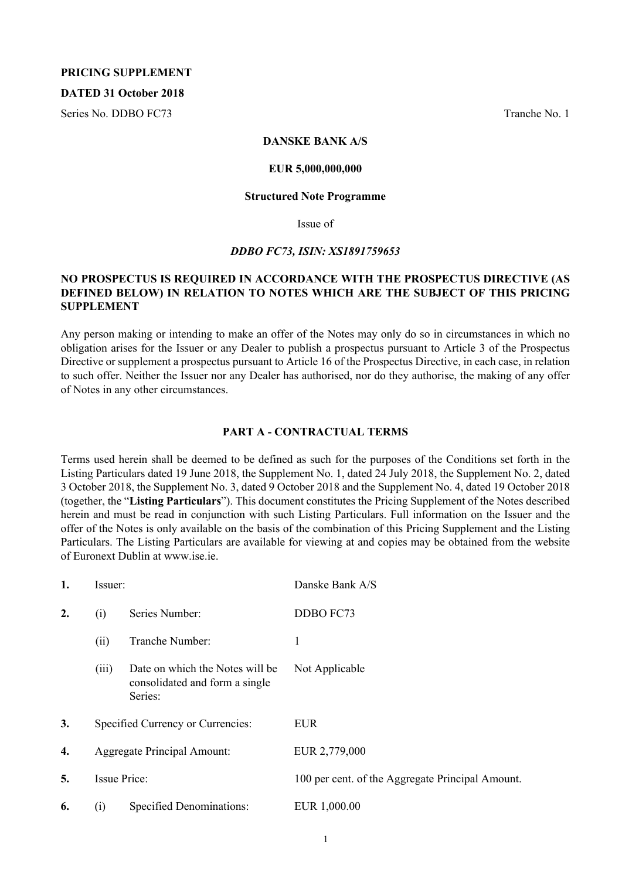### **PRICING SUPPLEMENT**

### **DATED 31 October 2018**

Series No. DDBO FC73 Tranche No. 1

### **DANSKE BANK A/S**

### **EUR 5,000,000,000**

#### **Structured Note Programme**

Issue of

### *DDBO FC73, ISIN: XS1891759653*

### **NO PROSPECTUS IS REQUIRED IN ACCORDANCE WITH THE PROSPECTUS DIRECTIVE (AS DEFINED BELOW) IN RELATION TO NOTES WHICH ARE THE SUBJECT OF THIS PRICING SUPPLEMENT**

Any person making or intending to make an offer of the Notes may only do so in circumstances in which no obligation arises for the Issuer or any Dealer to publish a prospectus pursuant to Article 3 of the Prospectus Directive or supplement a prospectus pursuant to Article 16 of the Prospectus Directive, in each case, in relation to such offer. Neither the Issuer nor any Dealer has authorised, nor do they authorise, the making of any offer of Notes in any other circumstances.

### **PART A - CONTRACTUAL TERMS**

Terms used herein shall be deemed to be defined as such for the purposes of the Conditions set forth in the Listing Particulars dated 19 June 2018, the Supplement No. 1, dated 24 July 2018, the Supplement No. 2, dated 3 October 2018, the Supplement No. 3, dated 9 October 2018 and the Supplement No. 4, dated 19 October 2018 (together, the "**Listing Particulars**"). This document constitutes the Pricing Supplement of the Notes described herein and must be read in conjunction with such Listing Particulars. Full information on the Issuer and the offer of the Notes is only available on the basis of the combination of this Pricing Supplement and the Listing Particulars. The Listing Particulars are available for viewing at and copies may be obtained from the website of Euronext Dublin at www.ise.ie.

| 1. | Issuer:                            |                                                                              | Danske Bank A/S                                  |
|----|------------------------------------|------------------------------------------------------------------------------|--------------------------------------------------|
| 2. | (i)                                | Series Number:                                                               | DDBO FC73                                        |
|    | (ii)                               | Tranche Number:                                                              | 1                                                |
|    | (iii)                              | Date on which the Notes will be<br>consolidated and form a single<br>Series: | Not Applicable                                   |
| 3. |                                    | Specified Currency or Currencies:                                            | <b>EUR</b>                                       |
| 4. | <b>Aggregate Principal Amount:</b> |                                                                              | EUR 2,779,000                                    |
| 5. |                                    | <b>Issue Price:</b>                                                          | 100 per cent. of the Aggregate Principal Amount. |
| 6. | (i)                                | Specified Denominations:                                                     | EUR 1,000.00                                     |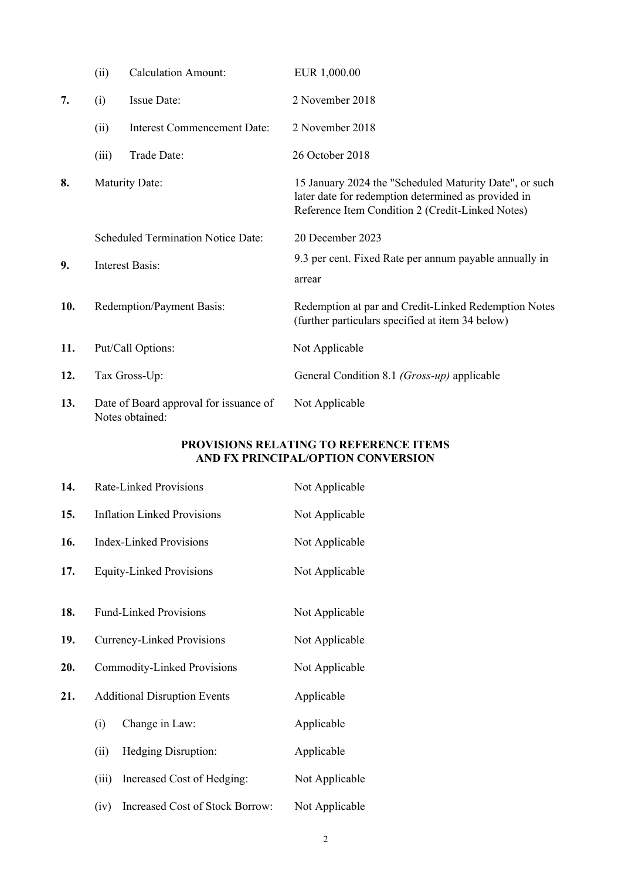|     | (ii)  | <b>Calculation Amount:</b>                                | EUR 1,000.00                                                                                                                                                      |
|-----|-------|-----------------------------------------------------------|-------------------------------------------------------------------------------------------------------------------------------------------------------------------|
| 7.  | (i)   | Issue Date:                                               | 2 November 2018                                                                                                                                                   |
|     | (ii)  | <b>Interest Commencement Date:</b>                        | 2 November 2018                                                                                                                                                   |
|     | (iii) | Trade Date:                                               | 26 October 2018                                                                                                                                                   |
| 8.  |       | <b>Maturity Date:</b>                                     | 15 January 2024 the "Scheduled Maturity Date", or such<br>later date for redemption determined as provided in<br>Reference Item Condition 2 (Credit-Linked Notes) |
|     |       | <b>Scheduled Termination Notice Date:</b>                 | 20 December 2023                                                                                                                                                  |
| 9.  |       | <b>Interest Basis:</b>                                    | 9.3 per cent. Fixed Rate per annum payable annually in<br>arrear                                                                                                  |
| 10. |       | Redemption/Payment Basis:                                 | Redemption at par and Credit-Linked Redemption Notes<br>(further particulars specified at item 34 below)                                                          |
| 11. |       | Put/Call Options:                                         | Not Applicable                                                                                                                                                    |
| 12. |       | Tax Gross-Up:                                             | General Condition 8.1 <i>(Gross-up)</i> applicable                                                                                                                |
| 13. |       | Date of Board approval for issuance of<br>Notes obtained: | Not Applicable                                                                                                                                                    |

# **PROVISIONS RELATING TO REFERENCE ITEMS AND FX PRINCIPAL/OPTION CONVERSION**

| 14. | <b>Rate-Linked Provisions</b>           |                                     | Not Applicable |
|-----|-----------------------------------------|-------------------------------------|----------------|
| 15. |                                         | <b>Inflation Linked Provisions</b>  | Not Applicable |
| 16. |                                         | <b>Index-Linked Provisions</b>      | Not Applicable |
| 17. | <b>Equity-Linked Provisions</b>         |                                     | Not Applicable |
|     |                                         |                                     |                |
| 18. |                                         | <b>Fund-Linked Provisions</b>       | Not Applicable |
| 19. | <b>Currency-Linked Provisions</b>       |                                     | Not Applicable |
| 20. | <b>Commodity-Linked Provisions</b>      |                                     | Not Applicable |
| 21. |                                         | <b>Additional Disruption Events</b> | Applicable     |
|     | (i)                                     | Change in Law:                      | Applicable     |
|     | Hedging Disruption:<br>(ii)             |                                     | Applicable     |
|     | (iii)<br>Increased Cost of Hedging:     |                                     | Not Applicable |
|     | Increased Cost of Stock Borrow:<br>(iv) |                                     | Not Applicable |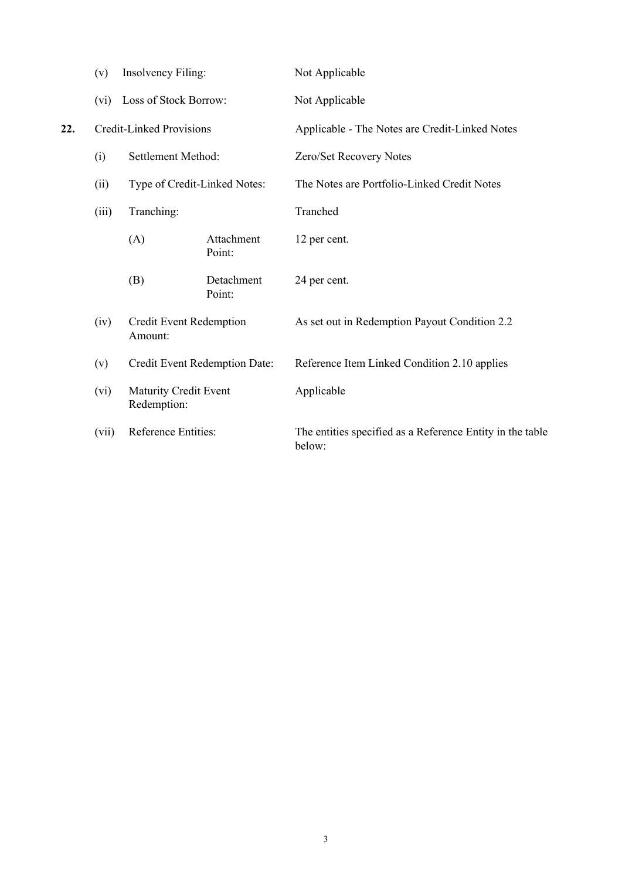|     | (v)   | Insolvency Filing:                          |                               | Not Applicable                                                      |
|-----|-------|---------------------------------------------|-------------------------------|---------------------------------------------------------------------|
|     | (vi)  | Loss of Stock Borrow:                       |                               | Not Applicable                                                      |
| 22. |       | <b>Credit-Linked Provisions</b>             |                               | Applicable - The Notes are Credit-Linked Notes                      |
|     | (i)   | Settlement Method:                          |                               | Zero/Set Recovery Notes                                             |
|     | (ii)  | Type of Credit-Linked Notes:                |                               | The Notes are Portfolio-Linked Credit Notes                         |
|     | (iii) | Tranching:                                  |                               | Tranched                                                            |
|     |       | (A)                                         | Attachment<br>Point:          | 12 per cent.                                                        |
|     |       | (B)                                         | Detachment<br>Point:          | 24 per cent.                                                        |
|     | (iv)  | Credit Event Redemption<br>Amount:          |                               | As set out in Redemption Payout Condition 2.2                       |
|     | (v)   |                                             | Credit Event Redemption Date: | Reference Item Linked Condition 2.10 applies                        |
|     | (vi)  | <b>Maturity Credit Event</b><br>Redemption: |                               | Applicable                                                          |
|     | (vii) | Reference Entities:                         |                               | The entities specified as a Reference Entity in the table<br>below: |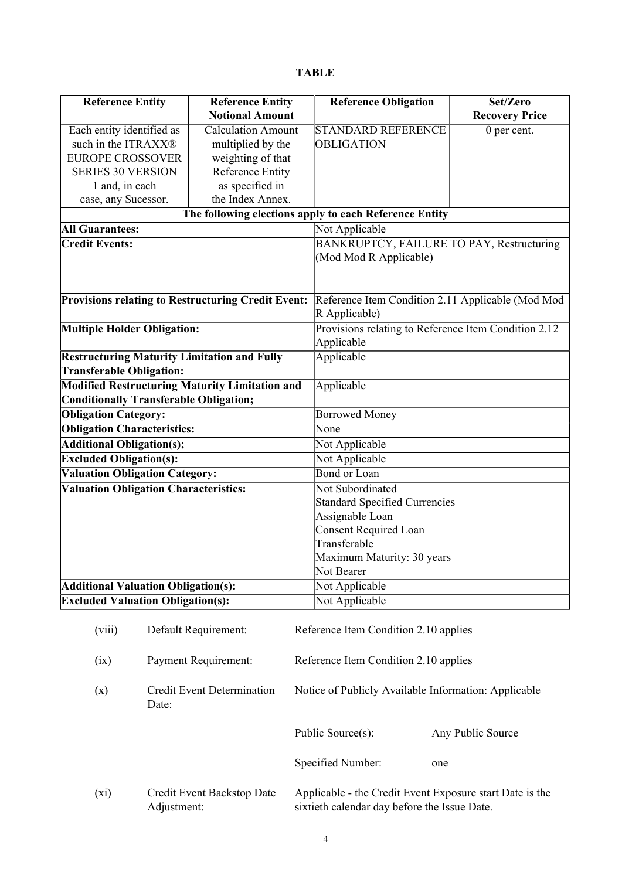|--|

|                                                           | <b>Reference Entity</b>   | <b>Reference Obligation</b>                            | Set/Zero                 |  |
|-----------------------------------------------------------|---------------------------|--------------------------------------------------------|--------------------------|--|
|                                                           | <b>Notional Amount</b>    |                                                        | <b>Recovery Price</b>    |  |
| Each entity identified as                                 | <b>Calculation Amount</b> | <b>STANDARD REFERENCE</b>                              | $\overline{0}$ per cent. |  |
| such in the ITRAXX®                                       | multiplied by the         | OBLIGATION                                             |                          |  |
| <b>EUROPE CROSSOVER</b>                                   | weighting of that         |                                                        |                          |  |
| <b>SERIES 30 VERSION</b>                                  | <b>Reference Entity</b>   |                                                        |                          |  |
| 1 and, in each                                            | as specified in           |                                                        |                          |  |
| case, any Sucessor.                                       | the Index Annex.          |                                                        |                          |  |
|                                                           |                           | The following elections apply to each Reference Entity |                          |  |
| <b>All Guarantees:</b>                                    |                           | Not Applicable                                         |                          |  |
| <b>Credit Events:</b>                                     |                           | BANKRUPTCY, FAILURE TO PAY, Restructuring              |                          |  |
|                                                           |                           | (Mod Mod R Applicable)                                 |                          |  |
|                                                           |                           |                                                        |                          |  |
|                                                           |                           |                                                        |                          |  |
| <b>Provisions relating to Restructuring Credit Event:</b> |                           | Reference Item Condition 2.11 Applicable (Mod Mod      |                          |  |
|                                                           |                           | R Applicable)                                          |                          |  |
| <b>Multiple Holder Obligation:</b>                        |                           | Provisions relating to Reference Item Condition 2.12   |                          |  |
|                                                           |                           | Applicable                                             |                          |  |
| <b>Restructuring Maturity Limitation and Fully</b>        |                           | Applicable                                             |                          |  |
| <b>Transferable Obligation:</b>                           |                           |                                                        |                          |  |
| <b>Modified Restructuring Maturity Limitation and</b>     |                           | Applicable                                             |                          |  |
| Conditionally Transferable Obligation;                    |                           |                                                        |                          |  |
| <b>Obligation Category:</b>                               |                           | <b>Borrowed Money</b>                                  |                          |  |
| <b>Obligation Characteristics:</b>                        |                           | None                                                   |                          |  |
| <b>Additional Obligation(s);</b>                          |                           | Not Applicable                                         |                          |  |
| <b>Excluded Obligation(s):</b>                            |                           | Not Applicable                                         |                          |  |
| <b>Valuation Obligation Category:</b>                     |                           | <b>Bond or Loan</b>                                    |                          |  |
| <b>Valuation Obligation Characteristics:</b>              |                           | Not Subordinated                                       |                          |  |
|                                                           |                           | <b>Standard Specified Currencies</b>                   |                          |  |
|                                                           |                           | Assignable Loan                                        |                          |  |
|                                                           |                           | Consent Required Loan                                  |                          |  |
|                                                           |                           | Transferable                                           |                          |  |
|                                                           |                           | Maximum Maturity: 30 years                             |                          |  |
|                                                           |                           | Not Bearer                                             |                          |  |
| <b>Additional Valuation Obligation(s):</b>                |                           | Not Applicable                                         |                          |  |
| <b>Excluded Valuation Obligation(s):</b>                  |                           | Not Applicable                                         |                          |  |

|      | (viii) | Default Requirement:                       | Reference Item Condition 2.10 applies                                                                    |                   |
|------|--------|--------------------------------------------|----------------------------------------------------------------------------------------------------------|-------------------|
| (ix) |        | Payment Requirement:                       | Reference Item Condition 2.10 applies                                                                    |                   |
| (x)  |        | <b>Credit Event Determination</b><br>Date: | Notice of Publicly Available Information: Applicable                                                     |                   |
|      |        |                                            | Public Source(s):                                                                                        | Any Public Source |
|      |        |                                            | Specified Number:                                                                                        | one               |
| (xi) |        | Credit Event Backstop Date<br>Adjustment:  | Applicable - the Credit Event Exposure start Date is the<br>sixtieth calendar day before the Issue Date. |                   |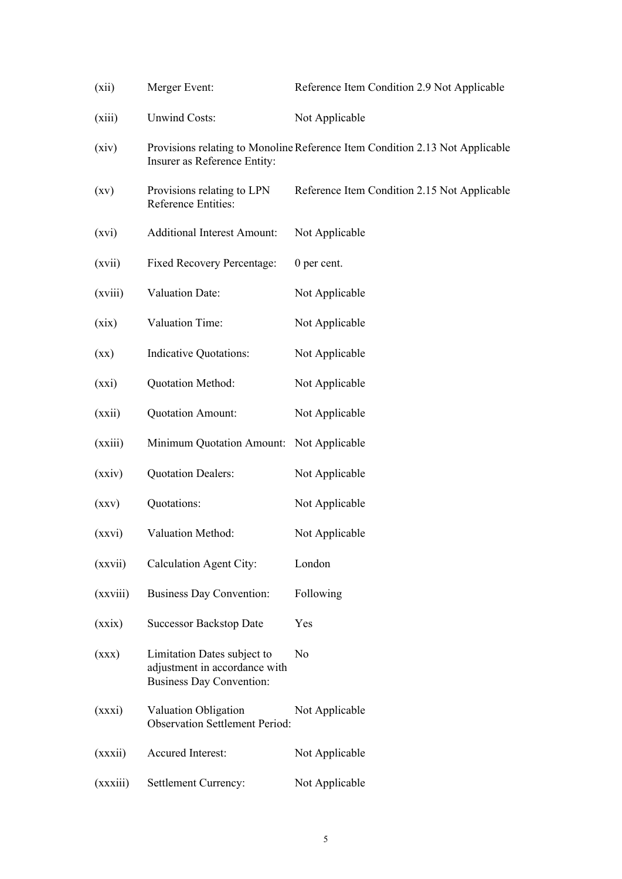| (xii)                    | Merger Event:                                                                                   | Reference Item Condition 2.9 Not Applicable                                  |
|--------------------------|-------------------------------------------------------------------------------------------------|------------------------------------------------------------------------------|
| (xiii)                   | <b>Unwind Costs:</b>                                                                            | Not Applicable                                                               |
| (xiv)                    | Insurer as Reference Entity:                                                                    | Provisions relating to Monoline Reference Item Condition 2.13 Not Applicable |
| $\left( xy\right)$       | Provisions relating to LPN<br>Reference Entities:                                               | Reference Item Condition 2.15 Not Applicable                                 |
| (xvi)                    | <b>Additional Interest Amount:</b>                                                              | Not Applicable                                                               |
| (xvii)                   | <b>Fixed Recovery Percentage:</b>                                                               | 0 per cent.                                                                  |
| (xviii)                  | <b>Valuation Date:</b>                                                                          | Not Applicable                                                               |
| (xix)                    | Valuation Time:                                                                                 | Not Applicable                                                               |
| $(\mathbf{X}\mathbf{X})$ | <b>Indicative Quotations:</b>                                                                   | Not Applicable                                                               |
| (xxi)                    | Quotation Method:                                                                               | Not Applicable                                                               |
| (xxii)                   | Quotation Amount:                                                                               | Not Applicable                                                               |
| (xxiii)                  | Minimum Quotation Amount:                                                                       | Not Applicable                                                               |
| (xxiv)                   | <b>Quotation Dealers:</b>                                                                       | Not Applicable                                                               |
| (xxy)                    | Quotations:                                                                                     | Not Applicable                                                               |
| (xxvi)                   | Valuation Method:                                                                               | Not Applicable                                                               |
| (xxvii)                  | <b>Calculation Agent City:</b>                                                                  | London                                                                       |
| (xxviii)                 | <b>Business Day Convention:</b>                                                                 | Following                                                                    |
| (xxix)                   | <b>Successor Backstop Date</b>                                                                  | Yes                                                                          |
| (xxx)                    | Limitation Dates subject to<br>adjustment in accordance with<br><b>Business Day Convention:</b> | N <sub>0</sub>                                                               |
| (xxxi)                   | Valuation Obligation<br><b>Observation Settlement Period:</b>                                   | Not Applicable                                                               |
| (xxxii)                  | Accured Interest:                                                                               | Not Applicable                                                               |
| (xxxiii)                 | Settlement Currency:                                                                            | Not Applicable                                                               |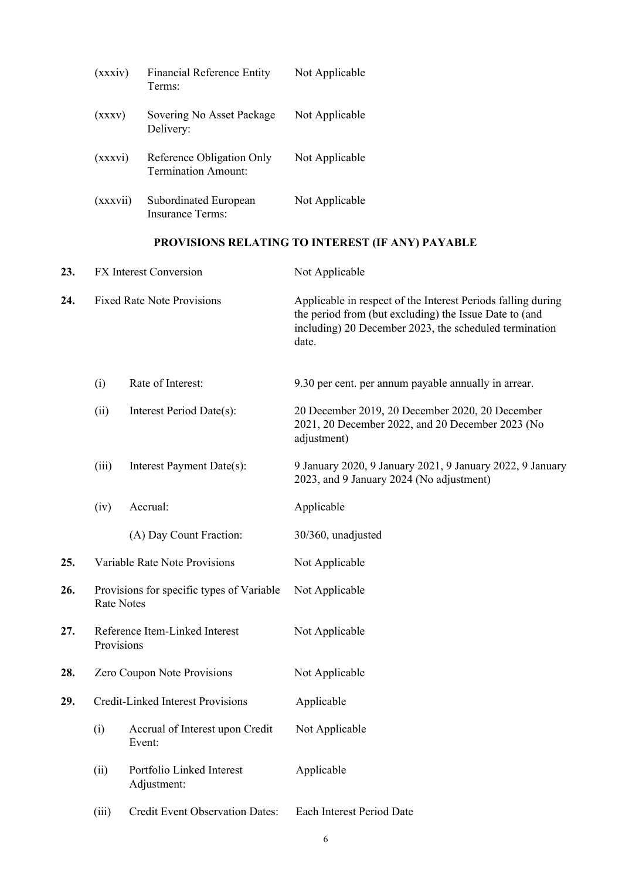| (xxxiv)  | <b>Financial Reference Entity</b><br>Terms:             | Not Applicable |
|----------|---------------------------------------------------------|----------------|
| (xxxv)   | Sovering No Asset Package<br>Delivery:                  | Not Applicable |
| (xxxvi)  | Reference Obligation Only<br><b>Termination Amount:</b> | Not Applicable |
| (xxxvii) | Subordinated European<br>Insurance Terms:               | Not Applicable |

# **PROVISIONS RELATING TO INTEREST (IF ANY) PAYABLE**

| 23. |                                              | <b>FX</b> Interest Conversion                                  | Not Applicable                                                                                                                                                                            |
|-----|----------------------------------------------|----------------------------------------------------------------|-------------------------------------------------------------------------------------------------------------------------------------------------------------------------------------------|
| 24. |                                              | <b>Fixed Rate Note Provisions</b>                              | Applicable in respect of the Interest Periods falling during<br>the period from (but excluding) the Issue Date to (and<br>including) 20 December 2023, the scheduled termination<br>date. |
|     | (i)                                          | Rate of Interest:                                              | 9.30 per cent. per annum payable annually in arrear.                                                                                                                                      |
|     | (ii)                                         | Interest Period Date(s):                                       | 20 December 2019, 20 December 2020, 20 December<br>2021, 20 December 2022, and 20 December 2023 (No<br>adjustment)                                                                        |
|     | (iii)                                        | Interest Payment Date(s):                                      | 9 January 2020, 9 January 2021, 9 January 2022, 9 January<br>2023, and 9 January 2024 (No adjustment)                                                                                     |
|     | (iv)                                         | Accrual:                                                       | Applicable                                                                                                                                                                                |
|     | (A) Day Count Fraction:                      |                                                                | 30/360, unadjusted                                                                                                                                                                        |
| 25. |                                              | Variable Rate Note Provisions                                  | Not Applicable                                                                                                                                                                            |
| 26. |                                              | Provisions for specific types of Variable<br><b>Rate Notes</b> | Not Applicable                                                                                                                                                                            |
| 27. | Reference Item-Linked Interest<br>Provisions |                                                                | Not Applicable                                                                                                                                                                            |
| 28. | Zero Coupon Note Provisions                  |                                                                | Not Applicable                                                                                                                                                                            |
| 29. |                                              | <b>Credit-Linked Interest Provisions</b>                       | Applicable                                                                                                                                                                                |
|     | (i)                                          | Accrual of Interest upon Credit<br>Event:                      | Not Applicable                                                                                                                                                                            |
|     | (ii)                                         | Portfolio Linked Interest<br>Adjustment:                       | Applicable                                                                                                                                                                                |
|     | (iii)                                        | <b>Credit Event Observation Dates:</b>                         | Each Interest Period Date                                                                                                                                                                 |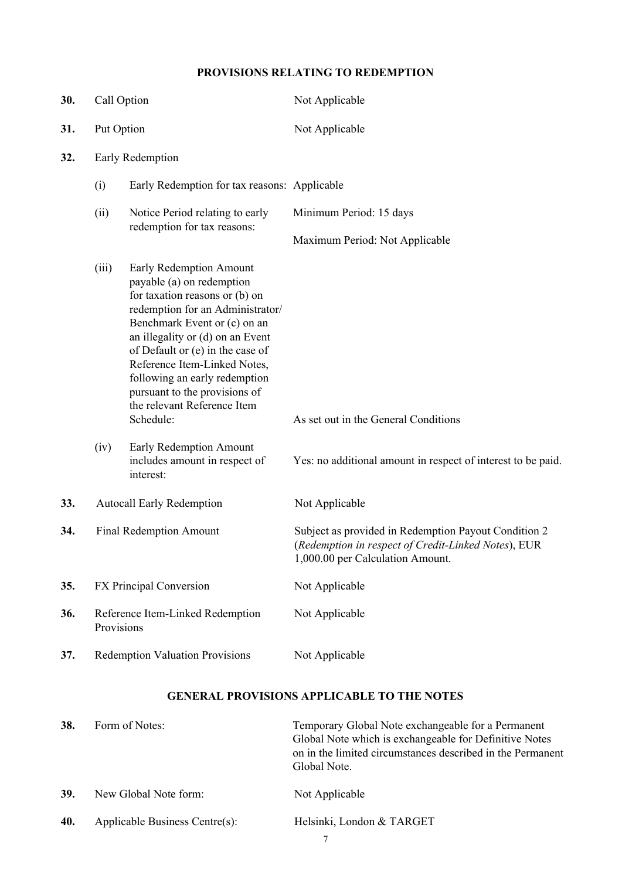# **PROVISIONS RELATING TO REDEMPTION**

| 30. | Call Option      |                                                                                                                                                                                                                                                                                                                                                                                                             | Not Applicable                                                                                                                                  |
|-----|------------------|-------------------------------------------------------------------------------------------------------------------------------------------------------------------------------------------------------------------------------------------------------------------------------------------------------------------------------------------------------------------------------------------------------------|-------------------------------------------------------------------------------------------------------------------------------------------------|
| 31. | Put Option       |                                                                                                                                                                                                                                                                                                                                                                                                             | Not Applicable                                                                                                                                  |
| 32. | Early Redemption |                                                                                                                                                                                                                                                                                                                                                                                                             |                                                                                                                                                 |
|     | (i)              | Early Redemption for tax reasons: Applicable                                                                                                                                                                                                                                                                                                                                                                |                                                                                                                                                 |
|     | (ii)             | Notice Period relating to early<br>redemption for tax reasons:                                                                                                                                                                                                                                                                                                                                              | Minimum Period: 15 days                                                                                                                         |
|     |                  |                                                                                                                                                                                                                                                                                                                                                                                                             | Maximum Period: Not Applicable                                                                                                                  |
|     | (iii)<br>(iv)    | Early Redemption Amount<br>payable (a) on redemption<br>for taxation reasons or (b) on<br>redemption for an Administrator/<br>Benchmark Event or (c) on an<br>an illegality or (d) on an Event<br>of Default or (e) in the case of<br>Reference Item-Linked Notes,<br>following an early redemption<br>pursuant to the provisions of<br>the relevant Reference Item<br>Schedule:<br>Early Redemption Amount | As set out in the General Conditions                                                                                                            |
|     |                  | includes amount in respect of<br>interest:                                                                                                                                                                                                                                                                                                                                                                  | Yes: no additional amount in respect of interest to be paid.                                                                                    |
| 33. |                  | <b>Autocall Early Redemption</b>                                                                                                                                                                                                                                                                                                                                                                            | Not Applicable                                                                                                                                  |
| 34. |                  | <b>Final Redemption Amount</b>                                                                                                                                                                                                                                                                                                                                                                              | Subject as provided in Redemption Payout Condition 2<br>(Redemption in respect of Credit-Linked Notes), EUR<br>1,000.00 per Calculation Amount. |
| 35. |                  | FX Principal Conversion                                                                                                                                                                                                                                                                                                                                                                                     | Not Applicable                                                                                                                                  |
| 36. | Provisions       | Reference Item-Linked Redemption                                                                                                                                                                                                                                                                                                                                                                            | Not Applicable                                                                                                                                  |
| 37. |                  | <b>Redemption Valuation Provisions</b>                                                                                                                                                                                                                                                                                                                                                                      | Not Applicable                                                                                                                                  |
|     |                  |                                                                                                                                                                                                                                                                                                                                                                                                             | <b>GENERAL PROVISIONS APPLICABLE TO THE NOTES</b>                                                                                               |

| 38. | Form of Notes:                 | Temporary Global Note exchangeable for a Permanent<br>Global Note which is exchangeable for Definitive Notes<br>on in the limited circumstances described in the Permanent<br>Global Note. |
|-----|--------------------------------|--------------------------------------------------------------------------------------------------------------------------------------------------------------------------------------------|
| 39. | New Global Note form:          | Not Applicable                                                                                                                                                                             |
| 40. | Applicable Business Centre(s): | Helsinki, London & TARGET                                                                                                                                                                  |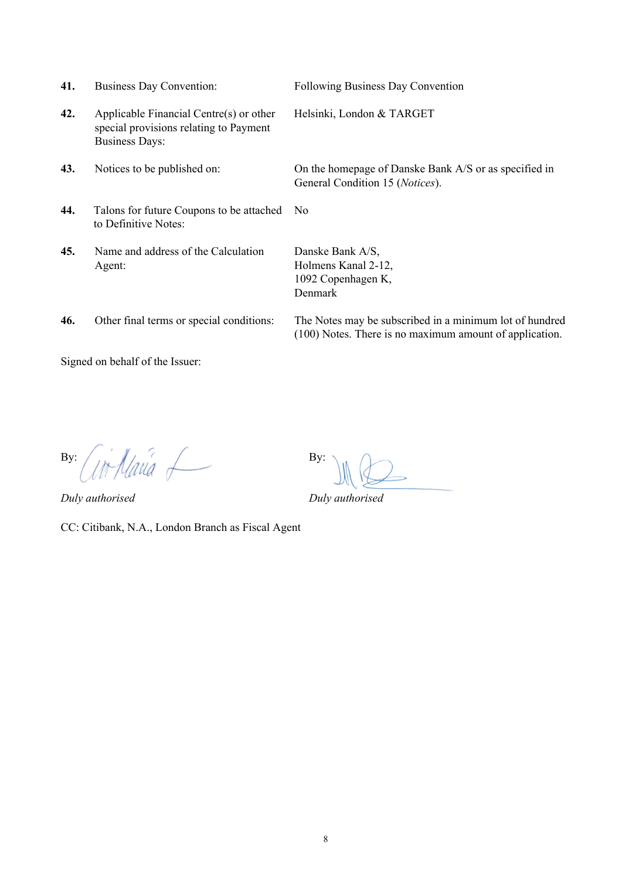| 41. | <b>Business Day Convention:</b>                                                                            | Following Business Day Convention                                                                                  |
|-----|------------------------------------------------------------------------------------------------------------|--------------------------------------------------------------------------------------------------------------------|
| 42. | Applicable Financial Centre(s) or other<br>special provisions relating to Payment<br><b>Business Days:</b> | Helsinki, London & TARGET                                                                                          |
| 43. | Notices to be published on:                                                                                | On the homepage of Danske Bank A/S or as specified in<br>General Condition 15 (Notices).                           |
| 44. | Talons for future Coupons to be attached<br>to Definitive Notes:                                           | N <sub>0</sub>                                                                                                     |
| 45. | Name and address of the Calculation<br>Agent:                                                              | Danske Bank A/S,<br>Holmens Kanal 2-12,<br>1092 Copenhagen K,<br>Denmark                                           |
| 46. | Other final terms or special conditions:                                                                   | The Notes may be subscribed in a minimum lot of hundred<br>(100) Notes. There is no maximum amount of application. |

Signed on behalf of the Issuer:

By: By:

*Duly authorised Duly authorised*

CC: Citibank, N.A., London Branch as Fiscal Agent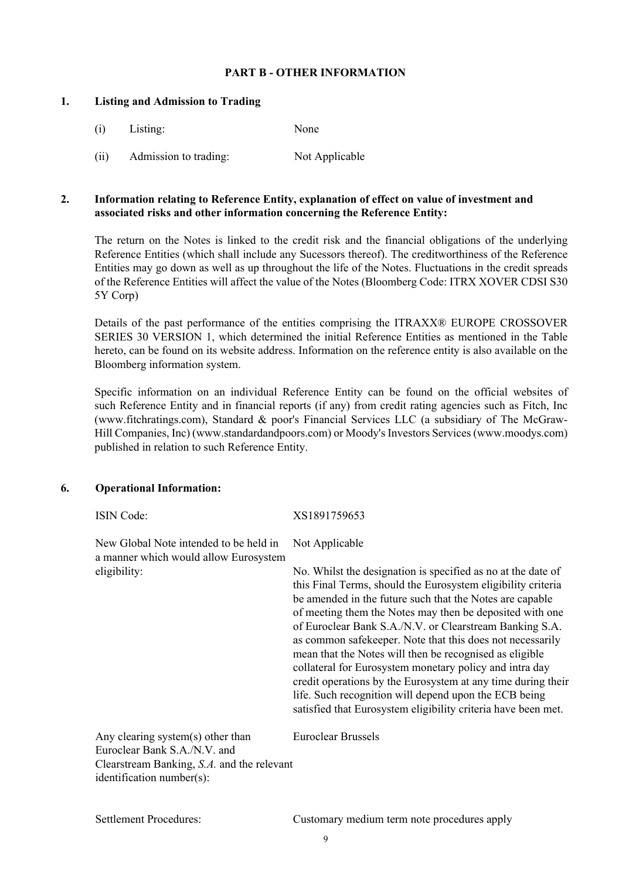### **PART B - OTHER INFORMATION**

### **1. Listing and Admission to Trading**

- (i) Listing: None
- (ii) Admission to trading: Not Applicable

### **2. Information relating to Reference Entity, explanation of effect on value of investment and associated risks and other information concerning the Reference Entity:**

The return on the Notes is linked to the credit risk and the financial obligations of the underlying Reference Entities (which shall include any Sucessors thereof). The creditworthiness of the Reference Entities may go down as well as up throughout the life of the Notes. Fluctuations in the credit spreads of the Reference Entities will affect the value of the Notes (Bloomberg Code: ITRX XOVER CDSI S30 5Y Corp)

Details of the past performance of the entities comprising the ITRAXX® EUROPE CROSSOVER SERIES 30 VERSION 1, which determined the initial Reference Entities as mentioned in the Table hereto, can be found on its website address. Information on the reference entity is also available on the Bloomberg information system.

Specific information on an individual Reference Entity can be found on the official websites of such Reference Entity and in financial reports (if any) from credit rating agencies such as Fitch, Inc (www.fitchratings.com), Standard & poor's Financial Services LLC (a subsidiary of The McGraw-Hill Companies, Inc) (www.standardandpoors.com) or Moody's Investors Services (www.moodys.com) published in relation to such Reference Entity.

### **6. Operational Information:**

New Global Note intended to be held in a manner which would allow Eurosystem eligibility:

ISIN Code: XS1891759653

Not Applicable

No. Whilst the designation is specified as no at the date of this Final Terms, should the Eurosystem eligibility criteria be amended in the future such that the Notes are capable of meeting them the Notes may then be deposited with one of Euroclear Bank S.A./N.V. or Clearstream Banking S.A. as common safekeeper. Note that this does not necessarily mean that the Notes will then be recognised as eligible collateral for Eurosystem monetary policy and intra day credit operations by the Eurosystem at any time during their life. Such recognition will depend upon the ECB being satisfied that Eurosystem eligibility criteria have been met.

Any clearing system(s) other than Euroclear Bank S.A./N.V. and Clearstream Banking, *S.A.* and the relevant identification number(s): Euroclear Brussels

Settlement Procedures: Customary medium term note procedures apply